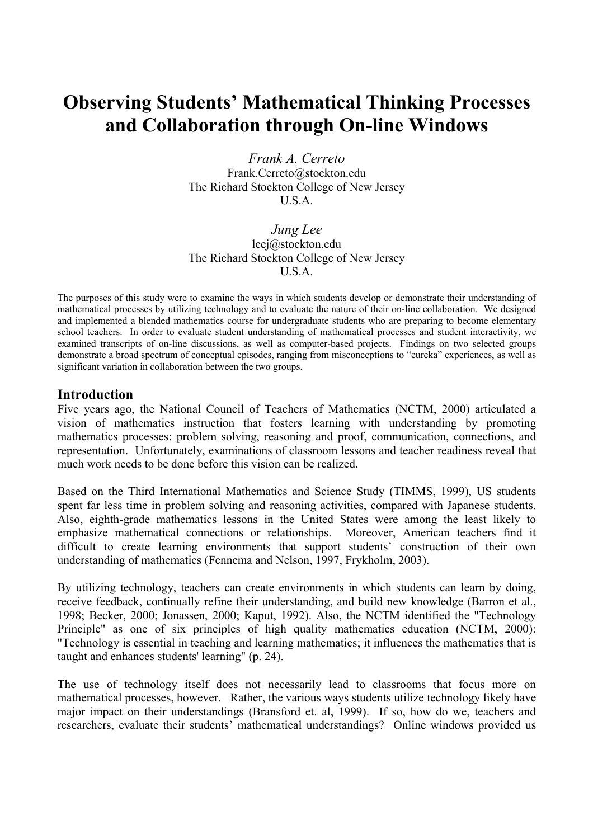# **Observing Students' Mathematical Thinking Processes and Collaboration through On-line Windows**

*Frank A. Cerreto*  Frank.Cerreto@stockton.edu The Richard Stockton College of New Jersey U.S.A.

*Jung Lee*  leej@stockton.edu The Richard Stockton College of New Jersey U.S.A.

The purposes of this study were to examine the ways in which students develop or demonstrate their understanding of mathematical processes by utilizing technology and to evaluate the nature of their on-line collaboration. We designed and implemented a blended mathematics course for undergraduate students who are preparing to become elementary school teachers. In order to evaluate student understanding of mathematical processes and student interactivity, we examined transcripts of on-line discussions, as well as computer-based projects. Findings on two selected groups demonstrate a broad spectrum of conceptual episodes, ranging from misconceptions to "eureka" experiences, as well as significant variation in collaboration between the two groups.

# **Introduction**

Five years ago, the National Council of Teachers of Mathematics (NCTM, 2000) articulated a vision of mathematics instruction that fosters learning with understanding by promoting mathematics processes: problem solving, reasoning and proof, communication, connections, and representation. Unfortunately, examinations of classroom lessons and teacher readiness reveal that much work needs to be done before this vision can be realized.

Based on the Third International Mathematics and Science Study (TIMMS, 1999), US students spent far less time in problem solving and reasoning activities, compared with Japanese students. Also, eighth-grade mathematics lessons in the United States were among the least likely to emphasize mathematical connections or relationships. Moreover, American teachers find it difficult to create learning environments that support students' construction of their own understanding of mathematics (Fennema and Nelson, 1997, Frykholm, 2003).

By utilizing technology, teachers can create environments in which students can learn by doing, receive feedback, continually refine their understanding, and build new knowledge (Barron et al., 1998; Becker, 2000; Jonassen, 2000; Kaput, 1992). Also, the NCTM identified the "Technology Principle" as one of six principles of high quality mathematics education (NCTM, 2000): "Technology is essential in teaching and learning mathematics; it influences the mathematics that is taught and enhances students' learning" (p. 24).

The use of technology itself does not necessarily lead to classrooms that focus more on mathematical processes, however. Rather, the various ways students utilize technology likely have major impact on their understandings (Bransford et. al, 1999). If so, how do we, teachers and researchers, evaluate their students' mathematical understandings? Online windows provided us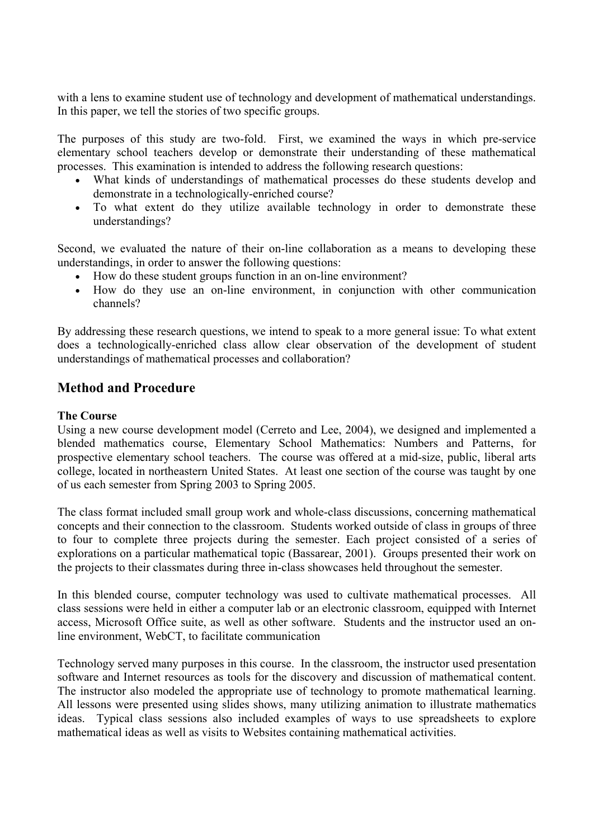with a lens to examine student use of technology and development of mathematical understandings. In this paper, we tell the stories of two specific groups.

The purposes of this study are two-fold. First, we examined the ways in which pre-service elementary school teachers develop or demonstrate their understanding of these mathematical processes. This examination is intended to address the following research questions:

- What kinds of understandings of mathematical processes do these students develop and demonstrate in a technologically-enriched course?
- To what extent do they utilize available technology in order to demonstrate these understandings?

Second, we evaluated the nature of their on-line collaboration as a means to developing these understandings, in order to answer the following questions:

- How do these student groups function in an on-line environment?
- How do they use an on-line environment, in conjunction with other communication channels?

By addressing these research questions, we intend to speak to a more general issue: To what extent does a technologically-enriched class allow clear observation of the development of student understandings of mathematical processes and collaboration?

# **Method and Procedure**

# **The Course**

Using a new course development model (Cerreto and Lee, 2004), we designed and implemented a blended mathematics course, Elementary School Mathematics: Numbers and Patterns, for prospective elementary school teachers. The course was offered at a mid-size, public, liberal arts college, located in northeastern United States. At least one section of the course was taught by one of us each semester from Spring 2003 to Spring 2005.

The class format included small group work and whole-class discussions, concerning mathematical concepts and their connection to the classroom. Students worked outside of class in groups of three to four to complete three projects during the semester. Each project consisted of a series of explorations on a particular mathematical topic (Bassarear, 2001). Groups presented their work on the projects to their classmates during three in-class showcases held throughout the semester.

In this blended course, computer technology was used to cultivate mathematical processes. All class sessions were held in either a computer lab or an electronic classroom, equipped with Internet access, Microsoft Office suite, as well as other software. Students and the instructor used an online environment, WebCT, to facilitate communication

Technology served many purposes in this course. In the classroom, the instructor used presentation software and Internet resources as tools for the discovery and discussion of mathematical content. The instructor also modeled the appropriate use of technology to promote mathematical learning. All lessons were presented using slides shows, many utilizing animation to illustrate mathematics ideas. Typical class sessions also included examples of ways to use spreadsheets to explore mathematical ideas as well as visits to Websites containing mathematical activities.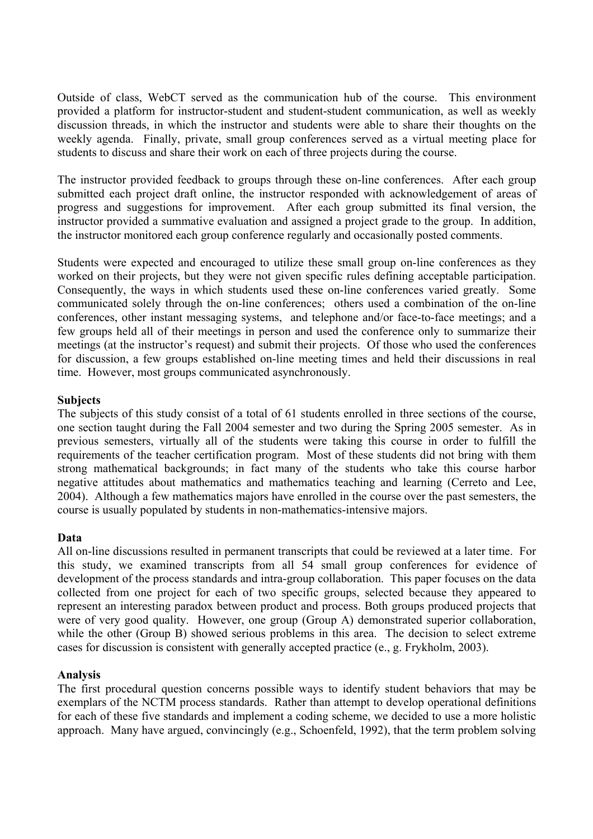Outside of class, WebCT served as the communication hub of the course. This environment provided a platform for instructor-student and student-student communication, as well as weekly discussion threads, in which the instructor and students were able to share their thoughts on the weekly agenda. Finally, private, small group conferences served as a virtual meeting place for students to discuss and share their work on each of three projects during the course.

The instructor provided feedback to groups through these on-line conferences. After each group submitted each project draft online, the instructor responded with acknowledgement of areas of progress and suggestions for improvement. After each group submitted its final version, the instructor provided a summative evaluation and assigned a project grade to the group. In addition, the instructor monitored each group conference regularly and occasionally posted comments.

Students were expected and encouraged to utilize these small group on-line conferences as they worked on their projects, but they were not given specific rules defining acceptable participation. Consequently, the ways in which students used these on-line conferences varied greatly. Some communicated solely through the on-line conferences; others used a combination of the on-line conferences, other instant messaging systems, and telephone and/or face-to-face meetings; and a few groups held all of their meetings in person and used the conference only to summarize their meetings (at the instructor's request) and submit their projects. Of those who used the conferences for discussion, a few groups established on-line meeting times and held their discussions in real time. However, most groups communicated asynchronously.

# **Subjects**

The subjects of this study consist of a total of 61 students enrolled in three sections of the course, one section taught during the Fall 2004 semester and two during the Spring 2005 semester. As in previous semesters, virtually all of the students were taking this course in order to fulfill the requirements of the teacher certification program. Most of these students did not bring with them strong mathematical backgrounds; in fact many of the students who take this course harbor negative attitudes about mathematics and mathematics teaching and learning (Cerreto and Lee, 2004). Although a few mathematics majors have enrolled in the course over the past semesters, the course is usually populated by students in non-mathematics-intensive majors.

## **Data**

All on-line discussions resulted in permanent transcripts that could be reviewed at a later time. For this study, we examined transcripts from all 54 small group conferences for evidence of development of the process standards and intra-group collaboration. This paper focuses on the data collected from one project for each of two specific groups, selected because they appeared to represent an interesting paradox between product and process. Both groups produced projects that were of very good quality. However, one group (Group A) demonstrated superior collaboration, while the other (Group B) showed serious problems in this area. The decision to select extreme cases for discussion is consistent with generally accepted practice (e., g. Frykholm, 2003).

## **Analysis**

The first procedural question concerns possible ways to identify student behaviors that may be exemplars of the NCTM process standards. Rather than attempt to develop operational definitions for each of these five standards and implement a coding scheme, we decided to use a more holistic approach. Many have argued, convincingly (e.g., Schoenfeld, 1992), that the term problem solving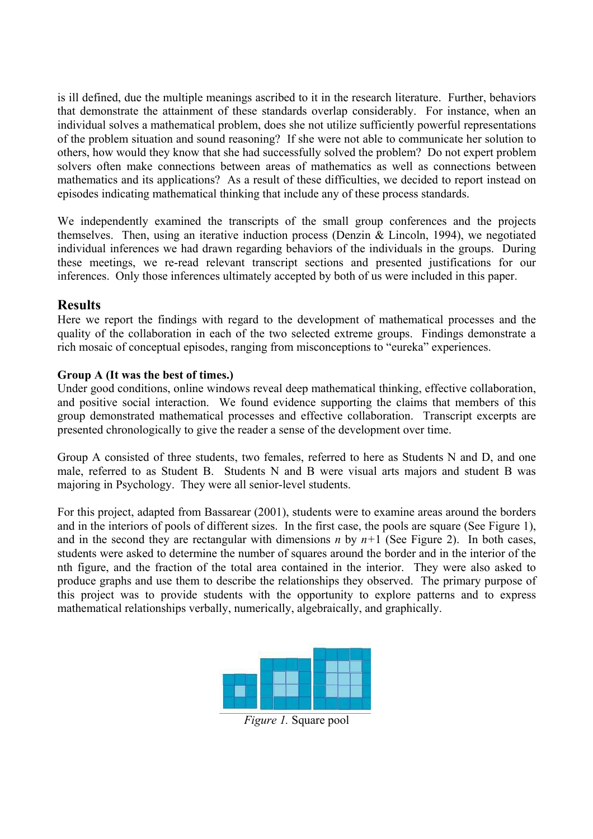is ill defined, due the multiple meanings ascribed to it in the research literature. Further, behaviors that demonstrate the attainment of these standards overlap considerably. For instance, when an individual solves a mathematical problem, does she not utilize sufficiently powerful representations of the problem situation and sound reasoning? If she were not able to communicate her solution to others, how would they know that she had successfully solved the problem? Do not expert problem solvers often make connections between areas of mathematics as well as connections between mathematics and its applications? As a result of these difficulties, we decided to report instead on episodes indicating mathematical thinking that include any of these process standards.

We independently examined the transcripts of the small group conferences and the projects themselves. Then, using an iterative induction process (Denzin & Lincoln, 1994), we negotiated individual inferences we had drawn regarding behaviors of the individuals in the groups. During these meetings, we re-read relevant transcript sections and presented justifications for our inferences. Only those inferences ultimately accepted by both of us were included in this paper.

# **Results**

Here we report the findings with regard to the development of mathematical processes and the quality of the collaboration in each of the two selected extreme groups. Findings demonstrate a rich mosaic of conceptual episodes, ranging from misconceptions to "eureka" experiences.

# **Group A (It was the best of times.)**

Under good conditions, online windows reveal deep mathematical thinking, effective collaboration, and positive social interaction. We found evidence supporting the claims that members of this group demonstrated mathematical processes and effective collaboration. Transcript excerpts are presented chronologically to give the reader a sense of the development over time.

Group A consisted of three students, two females, referred to here as Students N and D, and one male, referred to as Student B. Students N and B were visual arts majors and student B was majoring in Psychology. They were all senior-level students.

For this project, adapted from Bassarear (2001), students were to examine areas around the borders and in the interiors of pools of different sizes. In the first case, the pools are square (See Figure 1), and in the second they are rectangular with dimensions *n* by  $n+1$  (See Figure 2). In both cases, students were asked to determine the number of squares around the border and in the interior of the nth figure, and the fraction of the total area contained in the interior. They were also asked to produce graphs and use them to describe the relationships they observed. The primary purpose of this project was to provide students with the opportunity to explore patterns and to express mathematical relationships verbally, numerically, algebraically, and graphically.



*Figure 1.* Square pool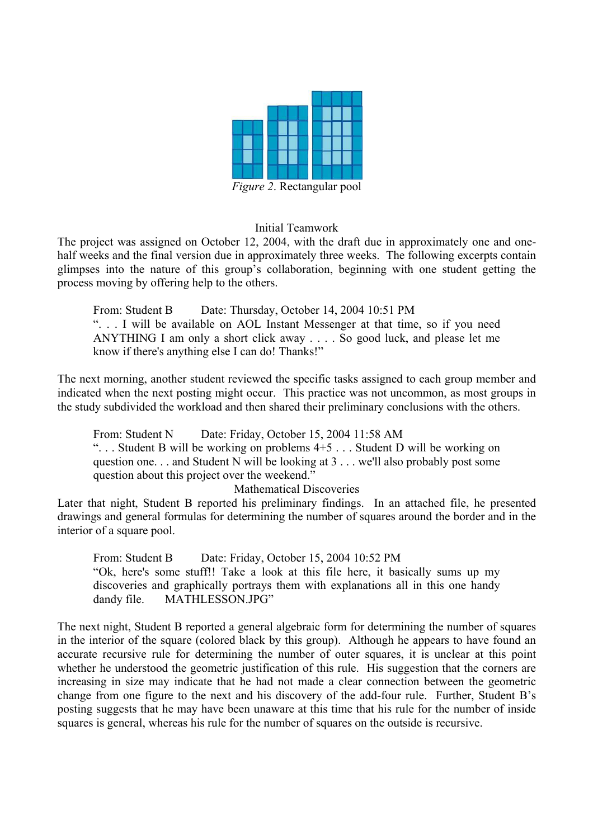

*Figure 2*. Rectangular pool

## Initial Teamwork

The project was assigned on October 12, 2004, with the draft due in approximately one and onehalf weeks and the final version due in approximately three weeks. The following excerpts contain glimpses into the nature of this group's collaboration, beginning with one student getting the process moving by offering help to the others.

From: Student B Date: Thursday, October 14, 2004 10:51 PM ". . . I will be available on AOL Instant Messenger at that time, so if you need ANYTHING I am only a short click away . . . . So good luck, and please let me know if there's anything else I can do! Thanks!"

The next morning, another student reviewed the specific tasks assigned to each group member and indicated when the next posting might occur. This practice was not uncommon, as most groups in the study subdivided the workload and then shared their preliminary conclusions with the others.

From: Student N Date: Friday, October 15, 2004 11:58 AM ". . . Student B will be working on problems 4+5 . . . Student D will be working on question one. . . and Student N will be looking at 3 . . . we'll also probably post some question about this project over the weekend."

Mathematical Discoveries

Later that night, Student B reported his preliminary findings. In an attached file, he presented drawings and general formulas for determining the number of squares around the border and in the interior of a square pool.

From: Student B Date: Friday, October 15, 2004 10:52 PM "Ok, here's some stuff!! Take a look at this file here, it basically sums up my discoveries and graphically portrays them with explanations all in this one handy dandy file. MATHLESSON.JPG"

The next night, Student B reported a general algebraic form for determining the number of squares in the interior of the square (colored black by this group). Although he appears to have found an accurate recursive rule for determining the number of outer squares, it is unclear at this point whether he understood the geometric justification of this rule. His suggestion that the corners are increasing in size may indicate that he had not made a clear connection between the geometric change from one figure to the next and his discovery of the add-four rule. Further, Student B's posting suggests that he may have been unaware at this time that his rule for the number of inside squares is general, whereas his rule for the number of squares on the outside is recursive.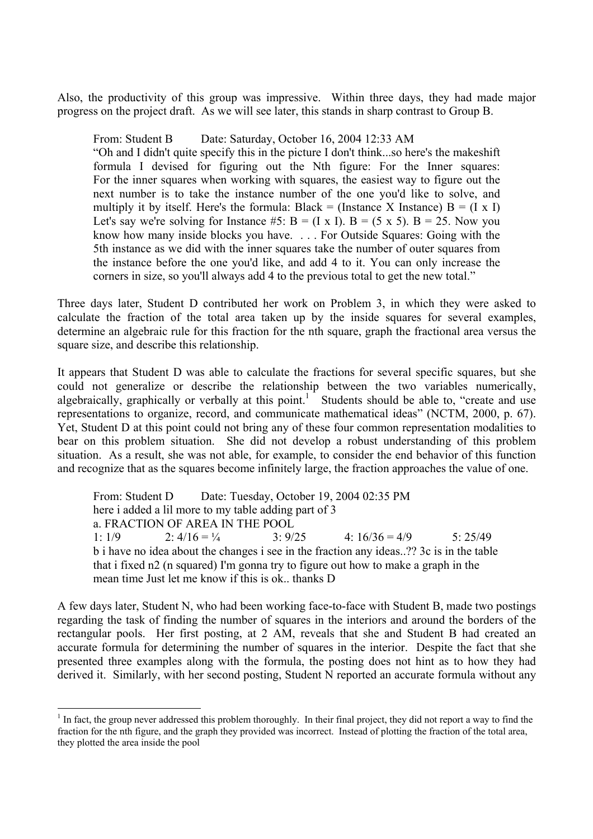Also, the productivity of this group was impressive. Within three days, they had made major progress on the project draft. As we will see later, this stands in sharp contrast to Group B.

From: Student B Date: Saturday, October 16, 2004 12:33 AM "Oh and I didn't quite specify this in the picture I don't think...so here's the makeshift formula I devised for figuring out the Nth figure: For the Inner squares: For the inner squares when working with squares, the easiest way to figure out the next number is to take the instance number of the one you'd like to solve, and multiply it by itself. Here's the formula: Black = (Instance X Instance)  $B = (I \times I)$ Let's say we're solving for Instance #5:  $B = (I \times I)$ .  $B = (5 \times 5)$ .  $B = 25$ . Now you know how many inside blocks you have. . . . For Outside Squares: Going with the 5th instance as we did with the inner squares take the number of outer squares from the instance before the one you'd like, and add 4 to it. You can only increase the corners in size, so you'll always add 4 to the previous total to get the new total."

Three days later, Student D contributed her work on Problem 3, in which they were asked to calculate the fraction of the total area taken up by the inside squares for several examples, determine an algebraic rule for this fraction for the nth square, graph the fractional area versus the square size, and describe this relationship.

It appears that Student D was able to calculate the fractions for several specific squares, but she could not generalize or describe the relationship between the two variables numerically, algebraically, graphically or verbally at this point.<sup>1</sup> Students should be able to, "create and use representations to organize, record, and communicate mathematical ideas" (NCTM, 2000, p. 67). Yet, Student D at this point could not bring any of these four common representation modalities to bear on this problem situation. She did not develop a robust understanding of this problem situation. As a result, she was not able, for example, to consider the end behavior of this function and recognize that as the squares become infinitely large, the fraction approaches the value of one.

From: Student D Date: Tuesday, October 19, 2004 02:35 PM here i added a lil more to my table adding part of 3 a. FRACTION OF AREA IN THE POOL 1:  $1/9$  2:  $4/16 = \frac{1}{4}$  3:  $9/25$  4:  $16/36 = 4/9$  5:  $25/49$ b i have no idea about the changes i see in the fraction any ideas..?? 3c is in the table that i fixed n2 (n squared) I'm gonna try to figure out how to make a graph in the mean time Just let me know if this is ok.. thanks D

A few days later, Student N, who had been working face-to-face with Student B, made two postings regarding the task of finding the number of squares in the interiors and around the borders of the rectangular pools. Her first posting, at 2 AM, reveals that she and Student B had created an accurate formula for determining the number of squares in the interior. Despite the fact that she presented three examples along with the formula, the posting does not hint as to how they had derived it. Similarly, with her second posting, Student N reported an accurate formula without any

 $\overline{a}$ 

 $<sup>1</sup>$  In fact, the group never addressed this problem thoroughly. In their final project, they did not report a way to find the</sup> fraction for the nth figure, and the graph they provided was incorrect. Instead of plotting the fraction of the total area, they plotted the area inside the pool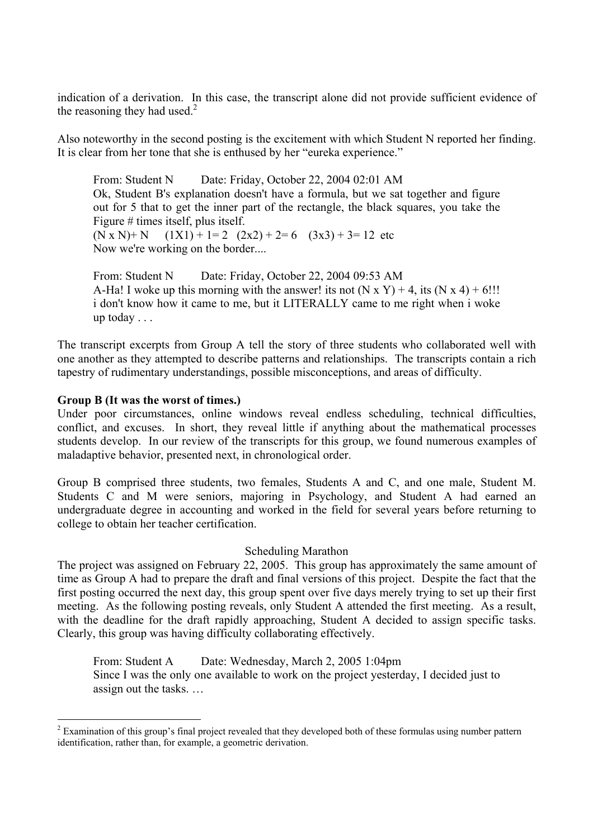indication of a derivation. In this case, the transcript alone did not provide sufficient evidence of the reasoning they had used. $2$ 

Also noteworthy in the second posting is the excitement with which Student N reported her finding. It is clear from her tone that she is enthused by her "eureka experience."

From: Student N Date: Friday, October 22, 2004 02:01 AM Ok, Student B's explanation doesn't have a formula, but we sat together and figure out for 5 that to get the inner part of the rectangle, the black squares, you take the Figure # times itself, plus itself.  $(N \times N) + N$   $(1X1) + 1= 2$   $(2x2) + 2= 6$   $(3x3) + 3= 12$  etc Now we're working on the border....

From: Student N Date: Friday, October 22, 2004 09:53 AM A-Ha! I woke up this morning with the answer! its not  $(N \times Y) + 4$ , its  $(N \times 4) + 6$ !!! i don't know how it came to me, but it LITERALLY came to me right when i woke up today . . .

The transcript excerpts from Group A tell the story of three students who collaborated well with one another as they attempted to describe patterns and relationships. The transcripts contain a rich tapestry of rudimentary understandings, possible misconceptions, and areas of difficulty.

# **Group B (It was the worst of times.)**

Under poor circumstances, online windows reveal endless scheduling, technical difficulties, conflict, and excuses. In short, they reveal little if anything about the mathematical processes students develop. In our review of the transcripts for this group, we found numerous examples of maladaptive behavior, presented next, in chronological order.

Group B comprised three students, two females, Students A and C, and one male, Student M. Students C and M were seniors, majoring in Psychology, and Student A had earned an undergraduate degree in accounting and worked in the field for several years before returning to college to obtain her teacher certification.

## Scheduling Marathon

The project was assigned on February 22, 2005. This group has approximately the same amount of time as Group A had to prepare the draft and final versions of this project. Despite the fact that the first posting occurred the next day, this group spent over five days merely trying to set up their first meeting. As the following posting reveals, only Student A attended the first meeting. As a result, with the deadline for the draft rapidly approaching, Student A decided to assign specific tasks. Clearly, this group was having difficulty collaborating effectively.

From: Student A Date: Wednesday, March 2, 2005 1:04pm Since I was the only one available to work on the project yesterday, I decided just to assign out the tasks. …

<sup>&</sup>lt;sup>2</sup> Examination of this group's final project revealed that they developed both of these formulas using number pattern identification, rather than, for example, a geometric derivation.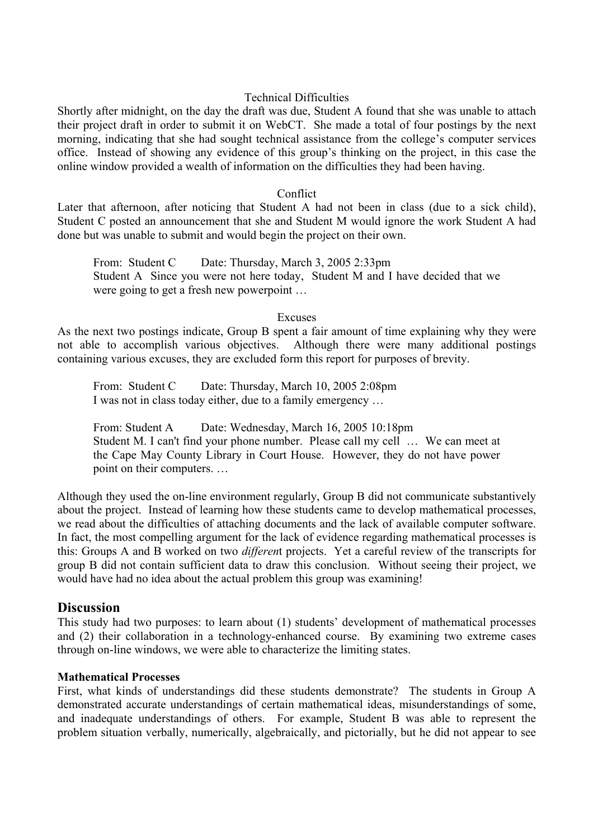## Technical Difficulties

Shortly after midnight, on the day the draft was due, Student A found that she was unable to attach their project draft in order to submit it on WebCT. She made a total of four postings by the next morning, indicating that she had sought technical assistance from the college's computer services office. Instead of showing any evidence of this group's thinking on the project, in this case the online window provided a wealth of information on the difficulties they had been having.

#### **Conflict**

Later that afternoon, after noticing that Student A had not been in class (due to a sick child), Student C posted an announcement that she and Student M would ignore the work Student A had done but was unable to submit and would begin the project on their own.

From: Student C Date: Thursday, March 3, 2005 2:33pm Student A Since you were not here today, Student M and I have decided that we were going to get a fresh new powerpoint …

#### Excuses

As the next two postings indicate, Group B spent a fair amount of time explaining why they were not able to accomplish various objectives. Although there were many additional postings containing various excuses, they are excluded form this report for purposes of brevity.

From: Student C Date: Thursday, March 10, 2005 2:08pm I was not in class today either, due to a family emergency …

From: Student A Date: Wednesday, March 16, 2005 10:18pm Student M. I can't find your phone number. Please call my cell … We can meet at the Cape May County Library in Court House. However, they do not have power point on their computers. …

Although they used the on-line environment regularly, Group B did not communicate substantively about the project. Instead of learning how these students came to develop mathematical processes, we read about the difficulties of attaching documents and the lack of available computer software. In fact, the most compelling argument for the lack of evidence regarding mathematical processes is this: Groups A and B worked on two *differen*t projects. Yet a careful review of the transcripts for group B did not contain sufficient data to draw this conclusion. Without seeing their project, we would have had no idea about the actual problem this group was examining!

## **Discussion**

This study had two purposes: to learn about (1) students' development of mathematical processes and (2) their collaboration in a technology-enhanced course. By examining two extreme cases through on-line windows, we were able to characterize the limiting states.

## **Mathematical Processes**

First, what kinds of understandings did these students demonstrate? The students in Group A demonstrated accurate understandings of certain mathematical ideas, misunderstandings of some, and inadequate understandings of others. For example, Student B was able to represent the problem situation verbally, numerically, algebraically, and pictorially, but he did not appear to see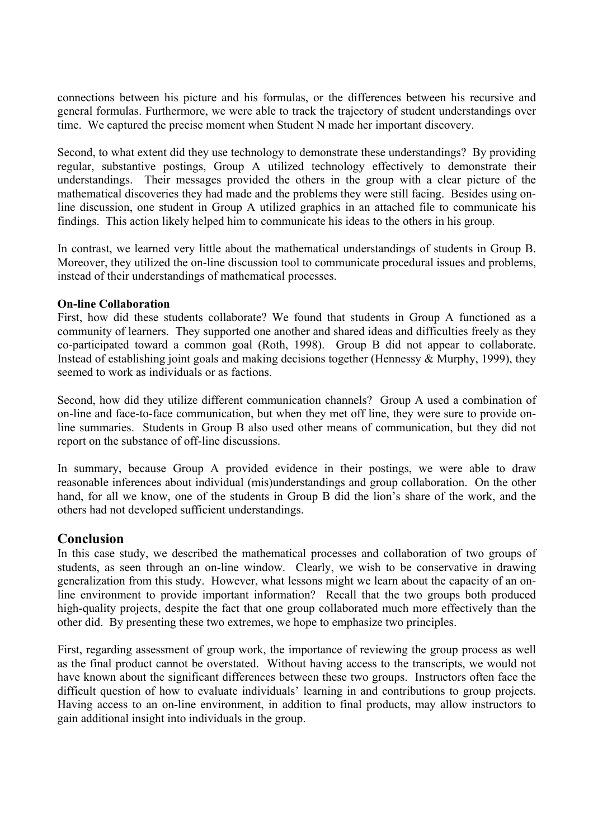connections between his picture and his formulas, or the differences between his recursive and general formulas. Furthermore, we were able to track the trajectory of student understandings over time. We captured the precise moment when Student N made her important discovery.

Second, to what extent did they use technology to demonstrate these understandings? By providing regular, substantive postings, Group A utilized technology effectively to demonstrate their understandings. Their messages provided the others in the group with a clear picture of the mathematical discoveries they had made and the problems they were still facing. Besides using online discussion, one student in Group A utilized graphics in an attached file to communicate his findings. This action likely helped him to communicate his ideas to the others in his group.

In contrast, we learned very little about the mathematical understandings of students in Group B. Moreover, they utilized the on-line discussion tool to communicate procedural issues and problems, instead of their understandings of mathematical processes.

## **On-line Collaboration**

First, how did these students collaborate? We found that students in Group A functioned as a community of learners. They supported one another and shared ideas and difficulties freely as they co-participated toward a common goal (Roth, 1998). Group B did not appear to collaborate. Instead of establishing joint goals and making decisions together (Hennessy & Murphy, 1999), they seemed to work as individuals or as factions.

Second, how did they utilize different communication channels? Group A used a combination of on-line and face-to-face communication, but when they met off line, they were sure to provide online summaries. Students in Group B also used other means of communication, but they did not report on the substance of off-line discussions.

In summary, because Group A provided evidence in their postings, we were able to draw reasonable inferences about individual (mis)understandings and group collaboration. On the other hand, for all we know, one of the students in Group B did the lion's share of the work, and the others had not developed sufficient understandings.

# **Conclusion**

In this case study, we described the mathematical processes and collaboration of two groups of students, as seen through an on-line window. Clearly, we wish to be conservative in drawing generalization from this study. However, what lessons might we learn about the capacity of an online environment to provide important information? Recall that the two groups both produced high-quality projects, despite the fact that one group collaborated much more effectively than the other did. By presenting these two extremes, we hope to emphasize two principles.

First, regarding assessment of group work, the importance of reviewing the group process as well as the final product cannot be overstated. Without having access to the transcripts, we would not have known about the significant differences between these two groups. Instructors often face the difficult question of how to evaluate individuals' learning in and contributions to group projects. Having access to an on-line environment, in addition to final products, may allow instructors to gain additional insight into individuals in the group.